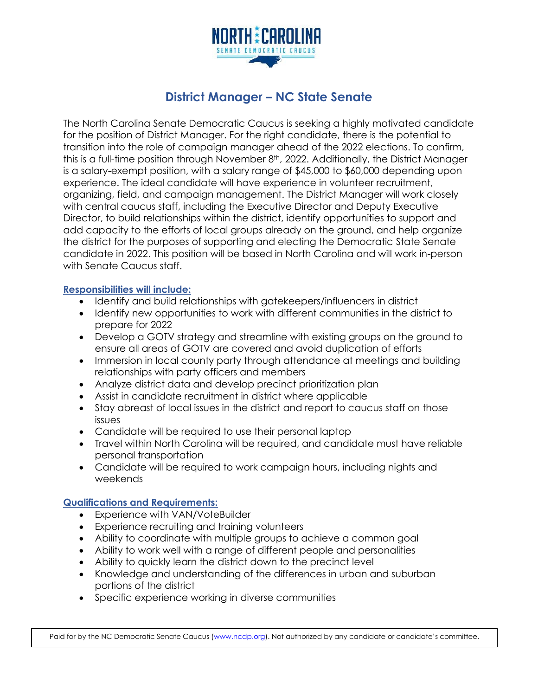

# **District Manager – NC State Senate**

The North Carolina Senate Democratic Caucus is seeking a highly motivated candidate for the position of District Manager. For the right candidate, there is the potential to transition into the role of campaign manager ahead of the 2022 elections. To confirm, this is a full-time position through November 8<sup>th</sup>, 2022. Additionally, the District Manager is a salary-exempt position, with a salary range of \$45,000 to \$60,000 depending upon experience. The ideal candidate will have experience in volunteer recruitment, organizing, field, and campaign management. The District Manager will work closely with central caucus staff, including the Executive Director and Deputy Executive Director, to build relationships within the district, identify opportunities to support and add capacity to the efforts of local groups already on the ground, and help organize the district for the purposes of supporting and electing the Democratic State Senate candidate in 2022. This position will be based in North Carolina and will work in-person with Senate Caucus staff.

## **Responsibilities will include:**

- Identify and build relationships with gatekeepers/influencers in district
- Identify new opportunities to work with different communities in the district to prepare for 2022
- Develop a GOTV strategy and streamline with existing groups on the ground to ensure all areas of GOTV are covered and avoid duplication of efforts
- Immersion in local county party through attendance at meetings and building relationships with party officers and members
- Analyze district data and develop precinct prioritization plan
- Assist in candidate recruitment in district where applicable
- Stay abreast of local issues in the district and report to caucus staff on those issues
- Candidate will be required to use their personal laptop
- Travel within North Carolina will be required, and candidate must have reliable personal transportation
- Candidate will be required to work campaign hours, including nights and weekends

## **Qualifications and Requirements:**

- Experience with VAN/VoteBuilder
- Experience recruiting and training volunteers
- Ability to coordinate with multiple groups to achieve a common goal
- Ability to work well with a range of different people and personalities
- Ability to quickly learn the district down to the precinct level
- Knowledge and understanding of the differences in urban and suburban portions of the district
- Specific experience working in diverse communities

Paid for by the NC Democratic Senate Caucus (www.ncdp.org). Not authorized by any candidate or candidate's committee.